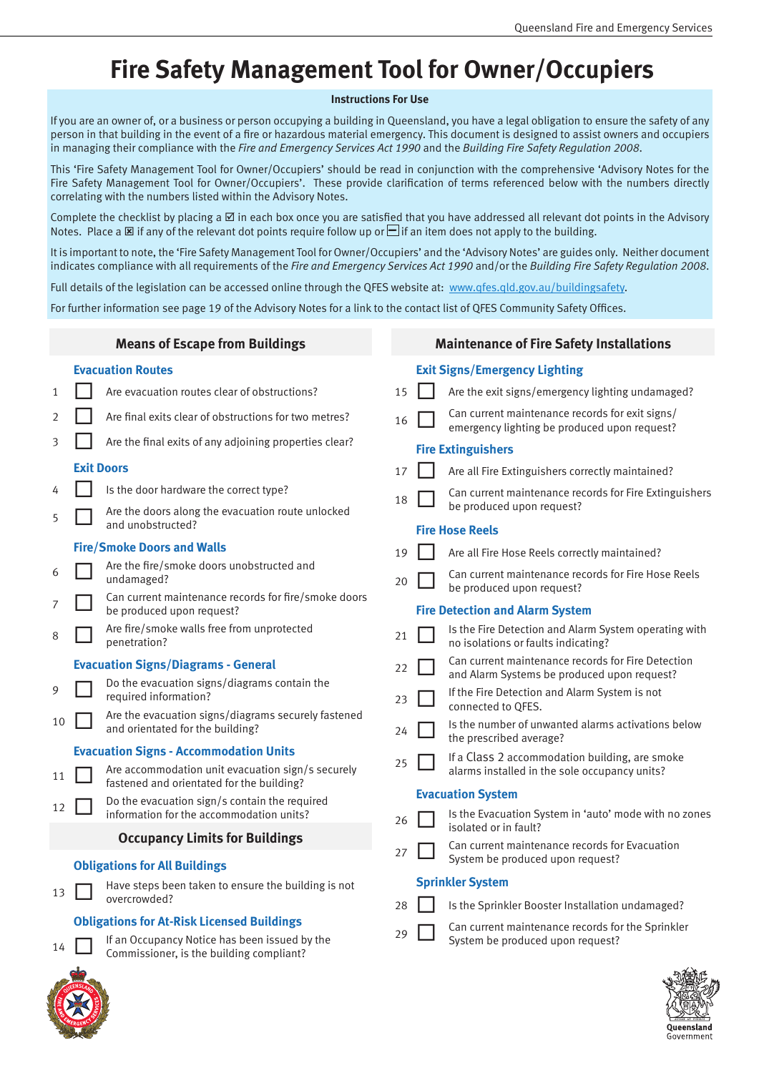**Maintenance of Fire Safety Installations**

**Exit Signs/Emergency Lighting**

## **Fire Safety Management Tool for Owner/Occupiers**

## **Instructions For Use**

If you are an owner of, or a business or person occupying a building in Queensland, you have a legal obligation to ensure the safety of any person in that building in the event of a fire or hazardous material emergency. This document is designed to assist owners and occupiers in managing their compliance with the *Fire and Emergency Services Act 1990* and the *Building Fire Safety Regulation 2008*.

This 'Fire Safety Management Tool for Owner/Occupiers' should be read in conjunction with the comprehensive 'Advisory Notes for the Fire Safety Management Tool for Owner/Occupiers'. These provide clarification of terms referenced below with the numbers directly correlating with the numbers listed within the Advisory Notes.

Complete the checklist by placing a  $\boxtimes$  in each box once you are satisfied that you have addressed all relevant dot points in the Advisory Notes. Place a  $\boxtimes$  if any of the relevant dot points require follow up or  $\Box$  if an item does not apply to the building.

It is important to note, the 'Fire Safety Management Tool for Owner/Occupiers' and the 'Advisory Notes' are guides only. Neither document indicates compliance with all requirements of the *Fire and Emergency Services Act 1990* and/or the *Building Fire Safety Regulation 2008*.

Full details of the legislation can be accessed online through the QFES website at: www.qfes.qld.gov.au/buildingsafety.

For further information see page 19 of the Advisory Notes for a link to the contact list of QFES Community Safety Offices.

## **Means of Escape from Buildings**

## **Evacuation Routes**

| 1  |                                                   | Are evacuation routes clear of obstructions?                                                   | 15 |                          | Are the exit signs/emergency lighting undamaged?                                                  |  |
|----|---------------------------------------------------|------------------------------------------------------------------------------------------------|----|--------------------------|---------------------------------------------------------------------------------------------------|--|
| 2  |                                                   | Are final exits clear of obstructions for two metres?                                          | 16 |                          | Can current maintenance records for exit signs/<br>emergency lighting be produced upon request?   |  |
| 3  |                                                   | Are the final exits of any adjoining properties clear?                                         |    |                          | <b>Fire Extinguishers</b>                                                                         |  |
|    |                                                   | <b>Exit Doors</b>                                                                              | 17 |                          | Are all Fire Extinguishers correctly maintained?                                                  |  |
| 4  |                                                   | Is the door hardware the correct type?                                                         | 18 |                          | Can current maintenance records for Fire Extinguishers                                            |  |
| 5  |                                                   | Are the doors along the evacuation route unlocked<br>and unobstructed?                         |    |                          | be produced upon request?                                                                         |  |
|    |                                                   |                                                                                                |    | <b>Fire Hose Reels</b>   |                                                                                                   |  |
|    |                                                   | <b>Fire/Smoke Doors and Walls</b>                                                              | 19 |                          | Are all Fire Hose Reels correctly maintained?                                                     |  |
| 6  |                                                   | Are the fire/smoke doors unobstructed and<br>undamaged?                                        | 20 |                          | Can current maintenance records for Fire Hose Reels<br>be produced upon request?                  |  |
| 7  |                                                   | Can current maintenance records for fire/smoke doors<br>be produced upon request?              |    |                          | <b>Fire Detection and Alarm System</b>                                                            |  |
| 8  |                                                   | Are fire/smoke walls free from unprotected<br>penetration?                                     | 21 |                          | Is the Fire Detection and Alarm System operating with<br>no isolations or faults indicating?      |  |
|    |                                                   | <b>Evacuation Signs/Diagrams - General</b>                                                     | 22 |                          | Can current maintenance records for Fire Detection<br>and Alarm Systems be produced upon request? |  |
| 9  |                                                   | Do the evacuation signs/diagrams contain the<br>required information?                          | 23 |                          | If the Fire Detection and Alarm System is not<br>connected to QFES.                               |  |
| 10 |                                                   | Are the evacuation signs/diagrams securely fastened<br>and orientated for the building?        | 24 |                          | Is the number of unwanted alarms activations below<br>the prescribed average?                     |  |
|    | <b>Evacuation Signs - Accommodation Units</b>     |                                                                                                |    |                          | If a Class 2 accommodation building, are smoke                                                    |  |
| 11 |                                                   | Are accommodation unit evacuation sign/s securely<br>fastened and orientated for the building? | 25 |                          | alarms installed in the sole occupancy units?                                                     |  |
|    |                                                   | Do the evacuation sign/s contain the required                                                  |    | <b>Evacuation System</b> |                                                                                                   |  |
| 12 |                                                   | information for the accommodation units?                                                       | 26 |                          | Is the Evacuation System in 'auto' mode with no zones                                             |  |
|    |                                                   | <b>Occupancy Limits for Buildings</b>                                                          |    |                          | isolated or in fault?                                                                             |  |
|    |                                                   | <b>Obligations for All Buildings</b>                                                           | 27 |                          | Can current maintenance records for Evacuation<br>System be produced upon request?                |  |
|    |                                                   | Have steps been taken to ensure the building is not<br>overcrowded?                            |    |                          | <b>Sprinkler System</b>                                                                           |  |
| 13 |                                                   |                                                                                                | 28 |                          | Is the Sprinkler Booster Installation undamaged?                                                  |  |
|    | <b>Obligations for At-Risk Licensed Buildings</b> |                                                                                                |    |                          | Can current maintenance records for the Sprinkler                                                 |  |
| 14 |                                                   | If an Occupancy Notice has been issued by the<br>Commissioner, is the building compliant?      | 29 |                          | System be produced upon request?                                                                  |  |